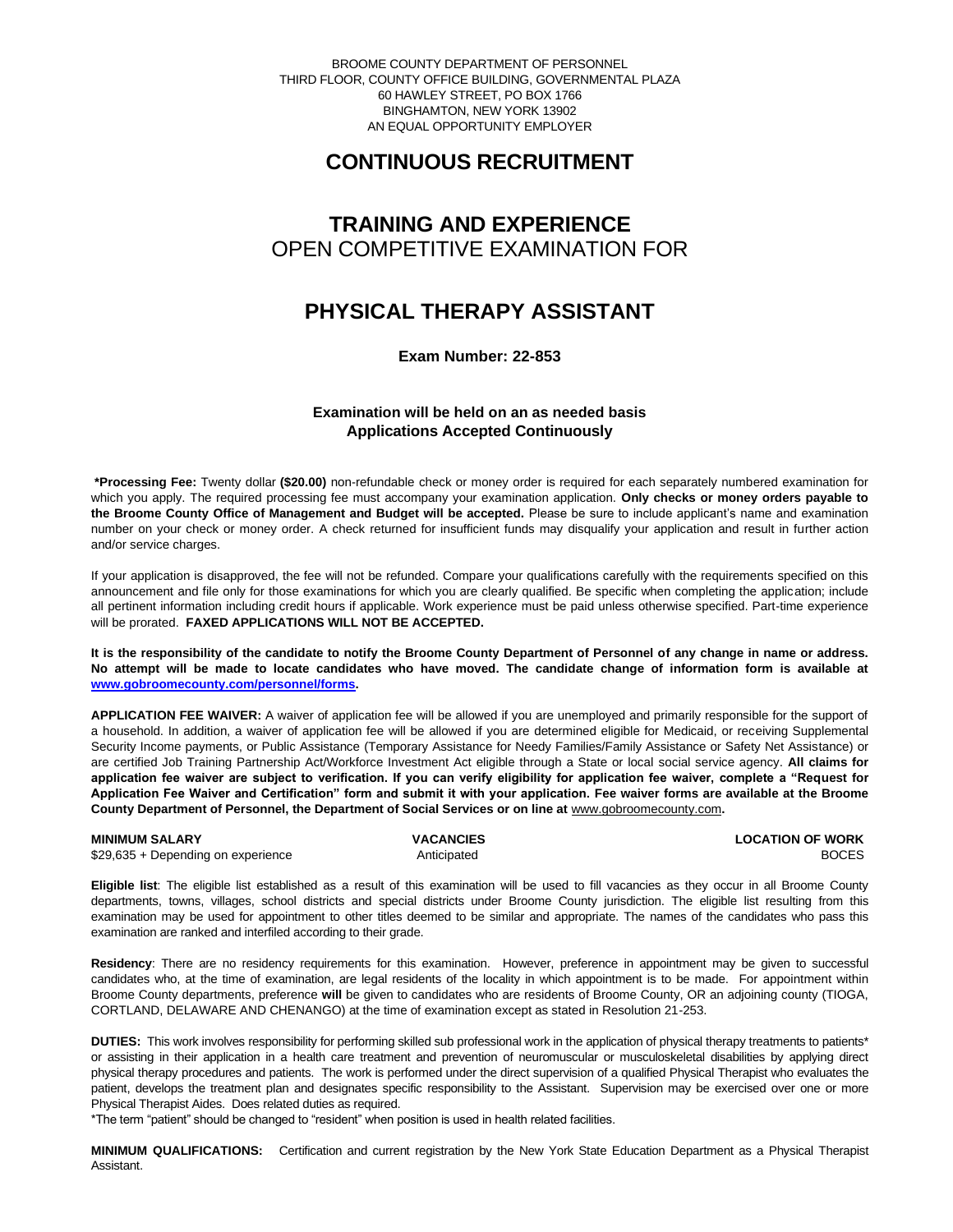BROOME COUNTY DEPARTMENT OF PERSONNEL THIRD FLOOR, COUNTY OFFICE BUILDING, GOVERNMENTAL PLAZA 60 HAWLEY STREET, PO BOX 1766 BINGHAMTON, NEW YORK 13902 AN EQUAL OPPORTUNITY EMPLOYER

# **CONTINUOUS RECRUITMENT**

# **TRAINING AND EXPERIENCE** OPEN COMPETITIVE EXAMINATION FOR

### **PHYSICAL THERAPY ASSISTANT**

**Exam Number: 22-853**

### **Examination will be held on an as needed basis Applications Accepted Continuously**

**\*Processing Fee:** Twenty dollar **(\$20.00)** non-refundable check or money order is required for each separately numbered examination for which you apply. The required processing fee must accompany your examination application. **Only checks or money orders payable to the Broome County Office of Management and Budget will be accepted.** Please be sure to include applicant's name and examination number on your check or money order. A check returned for insufficient funds may disqualify your application and result in further action and/or service charges.

If your application is disapproved, the fee will not be refunded. Compare your qualifications carefully with the requirements specified on this announcement and file only for those examinations for which you are clearly qualified. Be specific when completing the application; include all pertinent information including credit hours if applicable. Work experience must be paid unless otherwise specified. Part-time experience will be prorated. **FAXED APPLICATIONS WILL NOT BE ACCEPTED.** 

**It is the responsibility of the candidate to notify the Broome County Department of Personnel of any change in name or address. No attempt will be made to locate candidates who have moved. The candidate change of information form is available at [www.gobroomecounty.com/personnel/forms.](http://www.gobroomecounty.com/personnel/forms)** 

**APPLICATION FEE WAIVER:** A waiver of application fee will be allowed if you are unemployed and primarily responsible for the support of a household. In addition, a waiver of application fee will be allowed if you are determined eligible for Medicaid, or receiving Supplemental Security Income payments, or Public Assistance (Temporary Assistance for Needy Families/Family Assistance or Safety Net Assistance) or are certified Job Training Partnership Act/Workforce Investment Act eligible through a State or local social service agency. **All claims for application fee waiver are subject to verification. If you can verify eligibility for application fee waiver, complete a "Request for Application Fee Waiver and Certification" form and submit it with your application. Fee waiver forms are available at the Broome County Department of Personnel, the Department of Social Services or on line at** www.gobroomecounty.com**.** 

**MINIMUM SALARY CONSUMINIMUM SALARY** CONSULTER VACANCIES **CONSULTER WARE A LOCATION OF WORK**<br>  $\frac{1}{2}9.635 + \text{Deoendina on experience}$  anticipated and a system of the consultant consultant consultant consultant consultant consultant cons \$29,635 + Depending on experience Anticipated

**Eligible list**: The eligible list established as a result of this examination will be used to fill vacancies as they occur in all Broome County departments, towns, villages, school districts and special districts under Broome County jurisdiction. The eligible list resulting from this examination may be used for appointment to other titles deemed to be similar and appropriate. The names of the candidates who pass this examination are ranked and interfiled according to their grade.

**Residency**: There are no residency requirements for this examination. However, preference in appointment may be given to successful candidates who, at the time of examination, are legal residents of the locality in which appointment is to be made. For appointment within Broome County departments, preference **will** be given to candidates who are residents of Broome County, OR an adjoining county (TIOGA, CORTLAND, DELAWARE AND CHENANGO) at the time of examination except as stated in Resolution 21-253.

**DUTIES:** This work involves responsibility for performing skilled sub professional work in the application of physical therapy treatments to patients\* or assisting in their application in a health care treatment and prevention of neuromuscular or musculoskeletal disabilities by applying direct physical therapy procedures and patients. The work is performed under the direct supervision of a qualified Physical Therapist who evaluates the patient, develops the treatment plan and designates specific responsibility to the Assistant. Supervision may be exercised over one or more Physical Therapist Aides. Does related duties as required.

\*The term "patient" should be changed to "resident" when position is used in health related facilities.

**MINIMUM QUALIFICATIONS:** Certification and current registration by the New York State Education Department as a Physical Therapist Assistant.